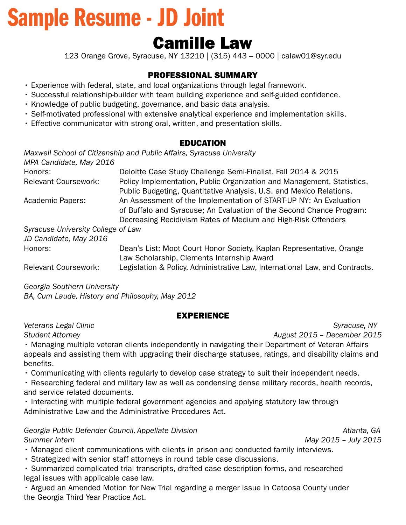# Sample Resume - JD Joint

# Camille Law

123 Orange Grove, Syracuse, NY 13210 | (315) 443 – 0000 | calaw01@syr.edu

#### PROFESSIONAL SUMMARY

- Experience with federal, state, and local organizations through legal framework.
- Successful relationship-builder with team building experience and self-guided confdence.
- Knowledge of public budgeting, governance, and basic data analysis.
- Self-motivated professional with extensive analytical experience and implementation skills.
- Effective communicator with strong oral, written, and presentation skills.

#### EDUCATION

*Maxwell School of Citizenship and Public Affairs, Syracuse University MPA Candidate, May 2016* 

| Honors:                            | Deloitte Case Study Challenge Semi-Finalist, Fall 2014 & 2015                                                                                                                                              |
|------------------------------------|------------------------------------------------------------------------------------------------------------------------------------------------------------------------------------------------------------|
| <b>Relevant Coursework:</b>        | Policy Implementation, Public Organization and Management, Statistics,<br>Public Budgeting, Quantitative Analysis, U.S. and Mexico Relations.                                                              |
| Academic Papers:                   | An Assessment of the Implementation of START-UP NY: An Evaluation<br>of Buffalo and Syracuse; An Evaluation of the Second Chance Program:<br>Decreasing Recidivism Rates of Medium and High-Risk Offenders |
| Syracuse University College of Law |                                                                                                                                                                                                            |
| JD Candidate, May 2016             |                                                                                                                                                                                                            |
| Honors:                            | Dean's List; Moot Court Honor Society, Kaplan Representative, Orange<br>Law Scholarship, Clements Internship Award                                                                                         |
| <b>Relevant Coursework:</b>        | Legislation & Policy, Administrative Law, International Law, and Contracts.                                                                                                                                |

*Georgia Southern University* 

*BA, Cum Laude, History and Philosophy, May 2012* 

#### EXPERIENCE

**Veterans Legal Clinic Community Community Community Community Community Community Community Community Community** 

*Student Attorney August 2015 – December 2015* 

• Managing multiple veteran clients independently in navigating their Department of Veteran Affairs appeals and assisting them with upgrading their discharge statuses, ratings, and disability claims and benefits.

• Communicating with clients regularly to develop case strategy to suit their independent needs.

• Researching federal and military law as well as condensing dense military records, health records, and service related documents.

• Interacting with multiple federal government agencies and applying statutory law through Administrative Law and the Administrative Procedures Act.

*Georgia Public Defender Council, Appellate Division Atlanta, GA Summer Intern May 2015 – July 2015* 

• Managed client communications with clients in prison and conducted family interviews.

• Strategized with senior staff attorneys in round table case discussions.

• Summarized complicated trial transcripts, drafted case description forms, and researched legal issues with applicable case law.

• Argued an Amended Motion for New Trial regarding a merger issue in Catoosa County under the Georgia Third Year Practice Act.